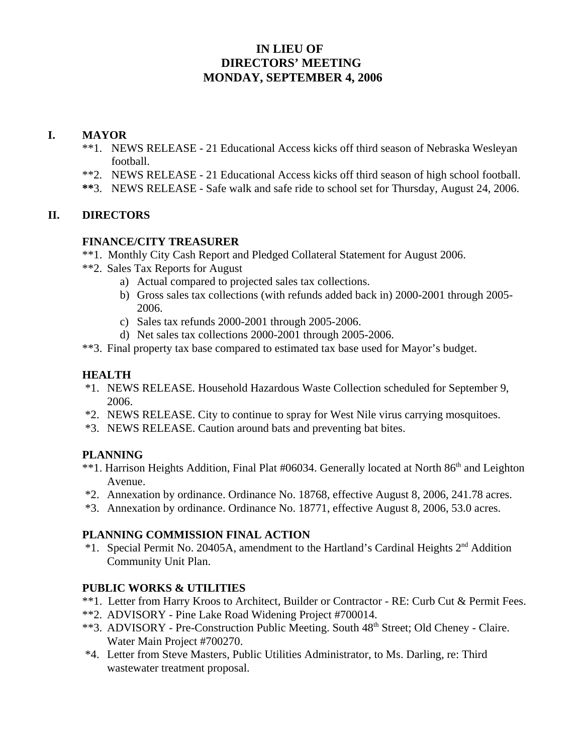# **IN LIEU OF DIRECTORS' MEETING MONDAY, SEPTEMBER 4, 2006**

## **I. MAYOR**

- \*\*1. NEWS RELEASE 21 Educational Access kicks off third season of Nebraska Wesleyan football.
- \*\*2. NEWS RELEASE 21 Educational Access kicks off third season of high school football.
- **\*\***3. NEWS RELEASE Safe walk and safe ride to school set for Thursday, August 24, 2006.

## **II. DIRECTORS**

### **FINANCE/CITY TREASURER**

- \*\*1. Monthly City Cash Report and Pledged Collateral Statement for August 2006.
- \*\*2. Sales Tax Reports for August
	- a) Actual compared to projected sales tax collections.
	- b) Gross sales tax collections (with refunds added back in) 2000-2001 through 2005- 2006.
	- c) Sales tax refunds 2000-2001 through 2005-2006.
	- d) Net sales tax collections 2000-2001 through 2005-2006.
- \*\*3. Final property tax base compared to estimated tax base used for Mayor's budget.

## **HEALTH**

- \*1. NEWS RELEASE. Household Hazardous Waste Collection scheduled for September 9, 2006.
- \*2. NEWS RELEASE. City to continue to spray for West Nile virus carrying mosquitoes.
- \*3. NEWS RELEASE. Caution around bats and preventing bat bites.

## **PLANNING**

- \*\*1. Harrison Heights Addition, Final Plat #06034. Generally located at North 86<sup>th</sup> and Leighton Avenue.
- \*2. Annexation by ordinance. Ordinance No. 18768, effective August 8, 2006, 241.78 acres.
- \*3. Annexation by ordinance. Ordinance No. 18771, effective August 8, 2006, 53.0 acres.

### **PLANNING COMMISSION FINAL ACTION**

 \*1. Special Permit No. 20405A, amendment to the Hartland's Cardinal Heights 2nd Addition Community Unit Plan.

## **PUBLIC WORKS & UTILITIES**

- \*\*1. Letter from Harry Kroos to Architect, Builder or Contractor RE: Curb Cut & Permit Fees.
- \*\*2. ADVISORY Pine Lake Road Widening Project #700014.
- \*\*3. ADVISORY Pre-Construction Public Meeting. South 48<sup>th</sup> Street; Old Cheney Claire. Water Main Project #700270.
- \*4. Letter from Steve Masters, Public Utilities Administrator, to Ms. Darling, re: Third wastewater treatment proposal.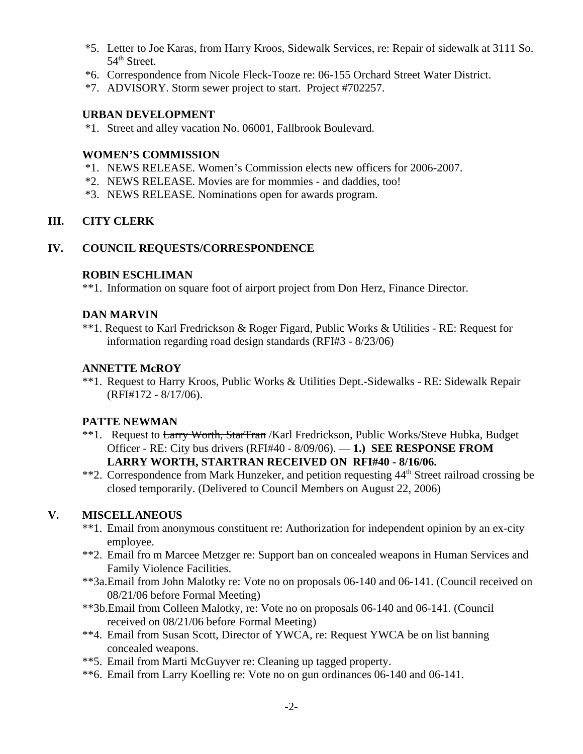- \*5. Letter to Joe Karas, from Harry Kroos, Sidewalk Services, re: Repair of sidewalk at 3111 So.  $54<sup>th</sup>$  Street.
- \*6. Correspondence from Nicole Fleck-Tooze re: 06-155 Orchard Street Water District.
- \*7. ADVISORY. Storm sewer project to start. Project #702257.

#### **URBAN DEVELOPMENT**

\*1. Street and alley vacation No. 06001, Fallbrook Boulevard.

#### **WOMEN'S COMMISSION**

- \*1. NEWS RELEASE. Women's Commission elects new officers for 2006-2007.
- \*2. NEWS RELEASE. Movies are for mommies and daddies, too!
- \*3. NEWS RELEASE. Nominations open for awards program.

### **III. CITY CLERK**

#### **IV. COUNCIL REQUESTS/CORRESPONDENCE**

#### **ROBIN ESCHLIMAN**

\*\*1. Information on square foot of airport project from Don Herz, Finance Director.

#### **DAN MARVIN**

\*\*1. Request to Karl Fredrickson & Roger Figard, Public Works & Utilities - RE: Request for information regarding road design standards (RFI#3 - 8/23/06)

#### **ANNETTE McROY**

\*\*1. Request to Harry Kroos, Public Works & Utilities Dept.-Sidewalks - RE: Sidewalk Repair (RFI#172 - 8/17/06).

### **PATTE NEWMAN**

- \*\*1. Request to Larry Worth, StarTran /Karl Fredrickson, Public Works/Steve Hubka, Budget Officer - RE: City bus drivers (RFI#40 - 8/09/06). — **1.) SEE RESPONSE FROM LARRY WORTH, STARTRAN RECEIVED ON RFI#40 - 8/16/06.**
- \*\*2. Correspondence from Mark Hunzeker, and petition requesting 44<sup>th</sup> Street railroad crossing be closed temporarily. (Delivered to Council Members on August 22, 2006)

### **V. MISCELLANEOUS**

- \*\*1. Email from anonymous constituent re: Authorization for independent opinion by an ex-city employee.
- \*\*2. Email fro m Marcee Metzger re: Support ban on concealed weapons in Human Services and Family Violence Facilities.
- \*\*3a.Email from John Malotky re: Vote no on proposals 06-140 and 06-141. (Council received on 08/21/06 before Formal Meeting)
- \*\*3b.Email from Colleen Malotky, re: Vote no on proposals 06-140 and 06-141. (Council received on 08/21/06 before Formal Meeting)
- \*\*4. Email from Susan Scott, Director of YWCA, re: Request YWCA be on list banning concealed weapons.
- \*\*5. Email from Marti McGuyver re: Cleaning up tagged property.
- \*\*6. Email from Larry Koelling re: Vote no on gun ordinances 06-140 and 06-141.